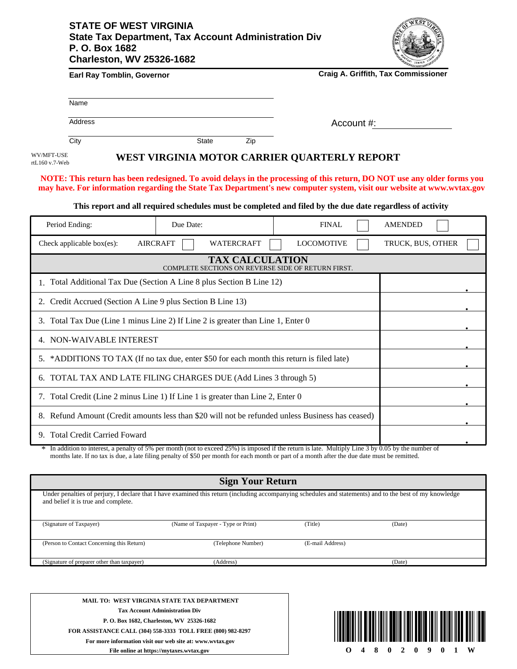## **STATE OF WEST VIRGINIA State Tax Department, Tax Account Administration Div P. O. Box 1682 Charleston, WV 25326-1682**



| <b>Earl Ray Tomblin, Governor</b> | <b>Craig A. Griffith, Tax Commissioner</b> |
|-----------------------------------|--------------------------------------------|
|-----------------------------------|--------------------------------------------|

| N <sub>2</sub><br>$-$<br>าme |  |  |  |
|------------------------------|--|--|--|
|                              |  |  |  |

**Address** 

Account #:

City **State** Zip

WV/MFT-USE rtL160 v.7-Web **WEST VIRGINIA MOTOR CARRIER QUARTERLY REPORT**

**NOTE: This return has been redesigned. To avoid delays in the processing of this return, DO NOT use any older forms you may have. For information regarding the State Tax Department's new computer system, visit our website at www.wvtax.gov**

**This report and all required schedules must be completed and filed by the due date regardless of activity**

| Period Ending:                                                                                   | Due Date:                            | <b>FINAL</b>      | <b>AMENDED</b>    |
|--------------------------------------------------------------------------------------------------|--------------------------------------|-------------------|-------------------|
| Check applicable box(es):                                                                        | <b>AIRCRAFT</b><br><b>WATERCRAFT</b> | <b>LOCOMOTIVE</b> | TRUCK, BUS, OTHER |
| <b>TAX CALCULATION</b><br>COMPLETE SECTIONS ON REVERSE SIDE OF RETURN FIRST.                     |                                      |                   |                   |
| 1. Total Additional Tax Due (Section A Line 8 plus Section B Line 12)                            |                                      |                   |                   |
| Credit Accrued (Section A Line 9 plus Section B Line 13)                                         |                                      |                   |                   |
| Total Tax Due (Line 1 minus Line 2) If Line 2 is greater than Line 1, Enter 0<br>3.              |                                      |                   |                   |
| 4. NON-WAIVABLE INTEREST                                                                         |                                      |                   |                   |
| *ADDITIONS TO TAX (If no tax due, enter \$50 for each month this return is filed late)<br>5.     |                                      |                   |                   |
| TOTAL TAX AND LATE FILING CHARGES DUE (Add Lines 3 through 5)<br>6.                              |                                      |                   |                   |
| 7. Total Credit (Line 2 minus Line 1) If Line 1 is greater than Line 2, Enter 0                  |                                      |                   |                   |
| 8. Refund Amount (Credit amounts less than \$20 will not be refunded unless Business has ceased) |                                      |                   |                   |
| 9. Total Credit Carried Foward                                                                   |                                      |                   |                   |

In addition to interest, a penalty of 5% per month (not to exceed 25%) is imposed if the return is late. Multiply Line 3 by 0.05 by the number of months late. If no tax is due, a late filing penalty of \$50 per month for each month or part of a month after the due date must be remitted. \*

## **Sign Your Return**

Under penalties of perjury, I declare that I have examined this return (including accompanying schedules and statements) and to the best of my knowledge and belief it is true and complete.

| (Signature of Taxpayer)                     | (Name of Taxpayer - Type or Print) | (Title)          | (Date) |  |
|---------------------------------------------|------------------------------------|------------------|--------|--|
| (Person to Contact Concerning this Return)  | (Telephone Number)                 | (E-mail Address) |        |  |
| (Signature of preparer other than taxpayer) | (Address)                          |                  | (Date) |  |

**MAIL TO: WEST VIRGINIA STATE TAX DEPARTMENT Tax Account Administration Div P. O. Box 1682, Charleston, WV 25326-1682 FOR ASSISTANCE CALL (304) 558-3333 TOLL FREE (800) 982-8297 For more information visit our web site at: www.wvtax.gov File online at https://mytaxes.wvtax.gov**